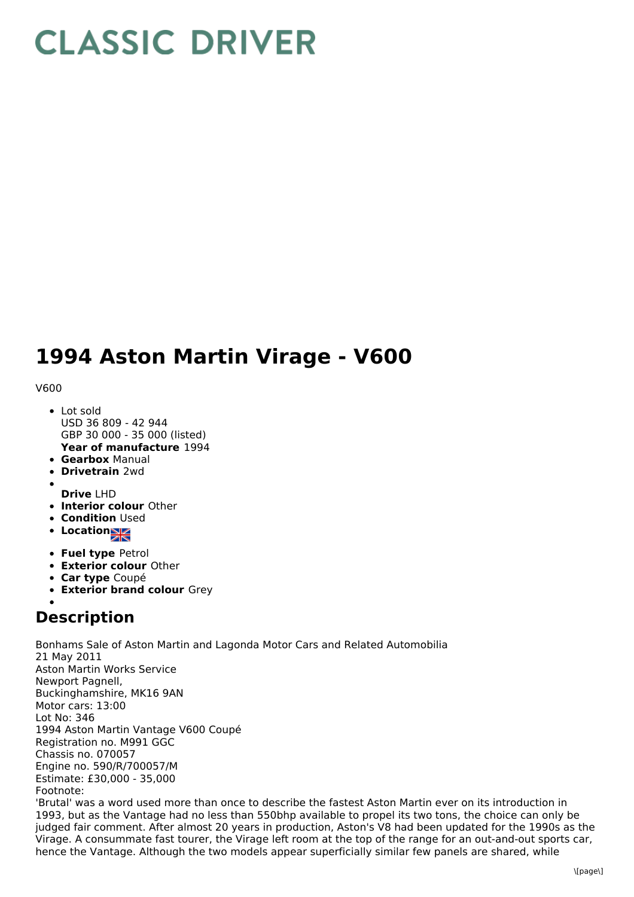## **CLASSIC DRIVER**

## **1994 Aston Martin Virage - V600**

## V600

- **Year of manufacture** 1994 Lot sold USD 36 809 - 42 944 GBP 30 000 - 35 000 (listed)
- **Gearbox** Manual
- **Drivetrain** 2wd
- **Drive** LHD
- **Interior colour** Other
- **Condition Used**
- **Location**
- **Fuel type** Petrol
- **Exterior colour** Other
- **Car type** Coupé
- **Exterior brand colour** Grey

## **Description**

Bonhams Sale of Aston Martin and Lagonda Motor Cars and Related Automobilia 21 May 2011 Aston Martin Works Service Newport Pagnell, Buckinghamshire, MK16 9AN Motor cars: 13:00 Lot No: 346 1994 Aston Martin Vantage V600 Coupé Registration no. M991 GGC Chassis no. 070057 Engine no. 590/R/700057/M Estimate: £30,000 - 35,000 Footnote:

'Brutal' was a word used more than once to describe the fastest Aston Martin ever on its introduction in 1993, but as the Vantage had no less than 550bhp available to propel its two tons, the choice can only be judged fair comment. After almost 20 years in production, Aston's V8 had been updated for the 1990s as the Virage. A consummate fast tourer, the Virage left room at the top of the range for an out-and-out sports car, hence the Vantage. Although the two models appear superficially similar few panels are shared, while